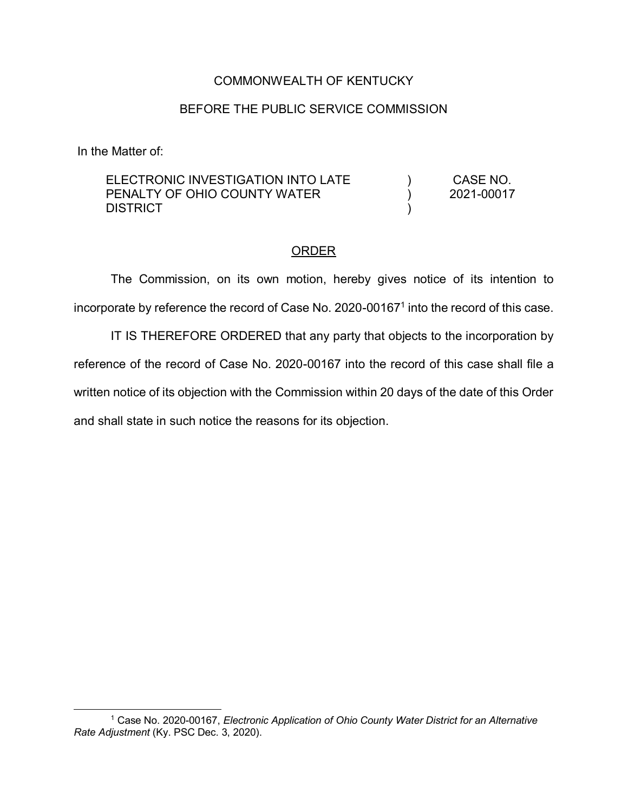## COMMONWEALTH OF KENTUCKY

## BEFORE THE PUBLIC SERVICE COMMISSION

In the Matter of:

 $\overline{a}$ 

| ELECTRONIC INVESTIGATION INTO LATE | CASE NO.   |
|------------------------------------|------------|
| PENALTY OF OHIO COUNTY WATER       | 2021-00017 |
| <b>DISTRICT</b>                    |            |

## ORDER

The Commission, on its own motion, hereby gives notice of its intention to incorporate by reference the record of Case No. 2020-001671 into the record of this case.

IT IS THEREFORE ORDERED that any party that objects to the incorporation by reference of the record of Case No. 2020-00167 into the record of this case shall file a written notice of its objection with the Commission within 20 days of the date of this Order and shall state in such notice the reasons for its objection.

<sup>1</sup> Case No. 2020-00167, *Electronic Application of Ohio County Water District for an Alternative Rate Adjustment* (Ky. PSC Dec. 3, 2020).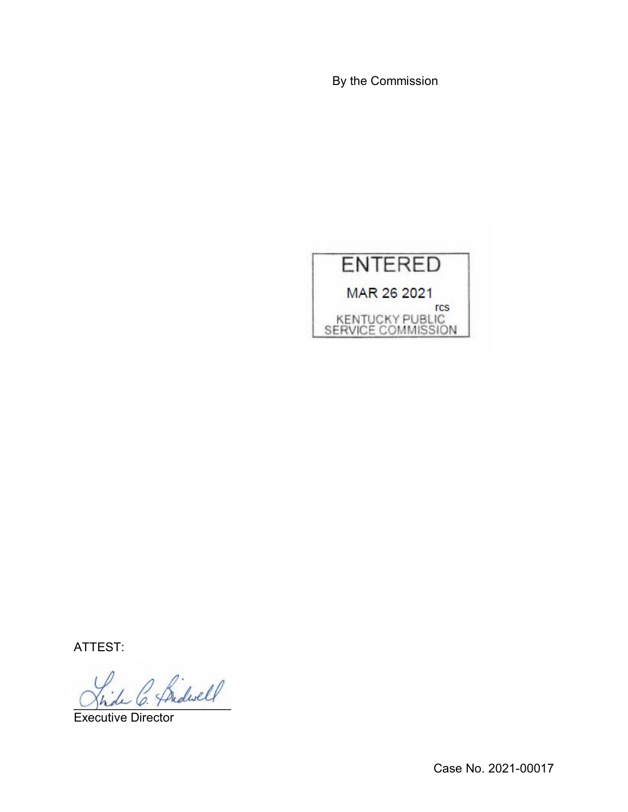By the Commission



ATTEST:

C. Bidwell

Executive Director

Case No. 2021-00017